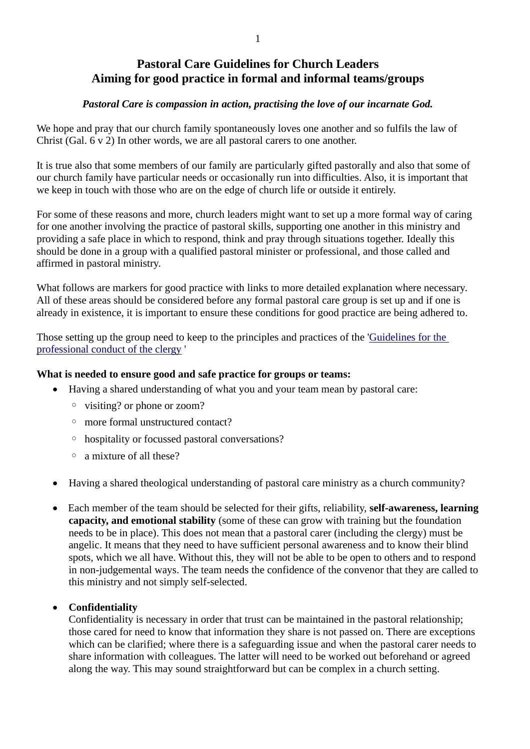# **Pastoral Care Guidelines for Church Leaders Aiming for good practice in formal and informal teams/groups**

#### *Pastoral Care is compassion in action, practising the love of our incarnate God.*

We hope and pray that our church family spontaneously loves one another and so fulfils the law of Christ (Gal. 6 v 2) In other words, we are all pastoral carers to one another.

It is true also that some members of our family are particularly gifted pastorally and also that some of our church family have particular needs or occasionally run into difficulties. Also, it is important that we keep in touch with those who are on the edge of church life or outside it entirely.

For some of these reasons and more, church leaders might want to set up a more formal way of caring for one another involving the practice of pastoral skills, supporting one another in this ministry and providing a safe place in which to respond, think and pray through situations together. Ideally this should be done in a group with a qualified pastoral minister or professional, and those called and affirmed in pastoral ministry.

What follows are markers for good practice with links to more detailed explanation where necessary. All of these areas should be considered before any formal pastoral care group is set up and if one is already in existence, it is important to ensure these conditions for good practice are being adhered to.

Those setting up the group need to keep to the principles and practices of the ['Guidelines for the](https://www.churchofengland.org/sites/default/files/2017-10/Clergy%20Guidelines%202015.pdf)  [professional conduct of the clergy](https://www.churchofengland.org/sites/default/files/2017-10/Clergy%20Guidelines%202015.pdf) '

#### **What is needed to ensure good and safe practice for groups or teams:**

- Having a shared understanding of what you and your team mean by pastoral care:
	- visiting? or phone or zoom?
	- more formal unstructured contact?
	- hospitality or focussed pastoral conversations?
	- a mixture of all these?
- Having a shared theological understanding of pastoral care ministry as a church community?
- Each member of the team should be selected for their gifts, reliability, **self-awareness, learning capacity, and emotional stability** (some of these can grow with training but the foundation needs to be in place). This does not mean that a pastoral carer (including the clergy) must be angelic. It means that they need to have sufficient personal awareness and to know their blind spots, which we all have. Without this, they will not be able to be open to others and to respond in non-judgemental ways. The team needs the confidence of the convenor that they are called to this ministry and not simply self-selected.

#### • **Confidentiality**

Confidentiality is necessary in order that trust can be maintained in the pastoral relationship; those cared for need to know that information they share is not passed on. There are exceptions which can be clarified; where there is a safeguarding issue and when the pastoral carer needs to share information with colleagues. The latter will need to be worked out beforehand or agreed along the way. This may sound straightforward but can be complex in a church setting.